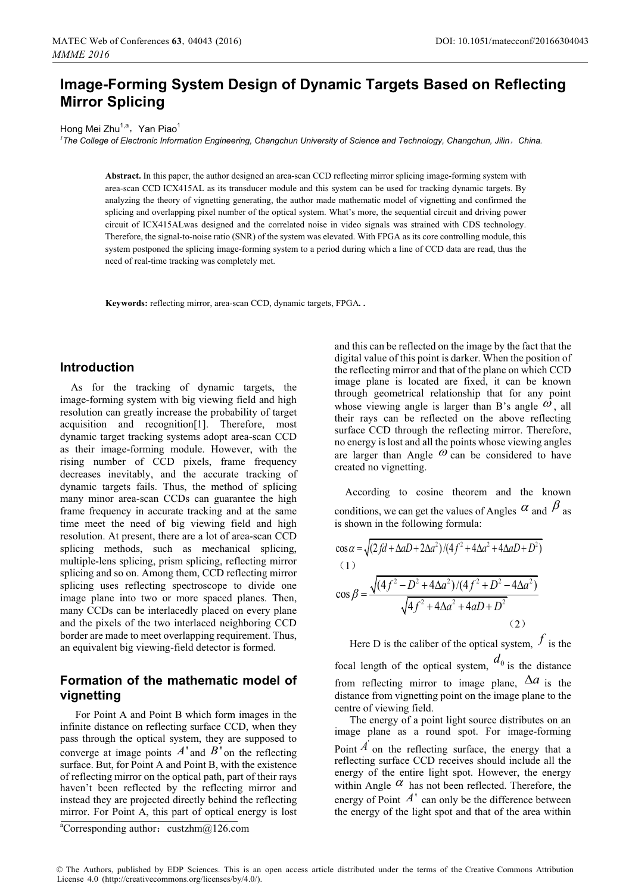# **Image-Forming System Design of Dynamic Targets Based on Reflecting Mirror Splicing**

Hong Mei Zhu<sup>1,a</sup>, Yan Piao<sup>1</sup>

*1 The College of Electronic Information Engineering, Changchun University of Science and Technology, Changchun, Jilin*ˈ*China.* 

**Abstract.** In this paper, the author designed an area-scan CCD reflecting mirror splicing image-forming system with area-scan CCD ICX415AL as its transducer module and this system can be used for tracking dynamic targets. By analyzing the theory of vignetting generating, the author made mathematic model of vignetting and confirmed the splicing and overlapping pixel number of the optical system. What's more, the sequential circuit and driving power circuit of ICX415ALwas designed and the correlated noise in video signals was strained with CDS technology. Therefore, the signal-to-noise ratio (SNR) of the system was elevated. With FPGA as its core controlling module, this system postponed the splicing image-forming system to a period during which a line of CCD data are read, thus the need of real-time tracking was completely met.

**Keywords:** reflecting mirror, area-scan CCD, dynamic targets, FPGA*. .* 

### **Introduction**

As for the tracking of dynamic targets, the image-forming system with big viewing field and high resolution can greatly increase the probability of target acquisition and recognition[1]. Therefore, most dynamic target tracking systems adopt area-scan CCD as their image-forming module. However, with the rising number of CCD pixels, frame frequency decreases inevitably, and the accurate tracking of dynamic targets fails. Thus, the method of splicing many minor area-scan CCDs can guarantee the high frame frequency in accurate tracking and at the same time meet the need of big viewing field and high resolution. At present, there are a lot of area-scan CCD splicing methods, such as mechanical splicing, multiple-lens splicing, prism splicing, reflecting mirror splicing and so on. Among them, CCD reflecting mirror splicing uses reflecting spectroscope to divide one image plane into two or more spaced planes. Then, many CCDs can be interlacedly placed on every plane and the pixels of the two interlaced neighboring CCD border are made to meet overlapping requirement. Thus, an equivalent big viewing-field detector is formed.

### **Formation of the mathematic model of vignetting**

For Point A and Point B which form images in the infinite distance on reflecting surface CCD, when they pass through the optical system, they are supposed to converge at image points  $A'$  and  $B'$  on the reflecting surface. But, for Point A and Point B, with the existence of reflecting mirror on the optical path, part of their rays haven't been reflected by the reflecting mirror and instead they are projected directly behind the reflecting mirror. For Point A, this part of optical energy is lost and this can be reflected on the image by the fact that the digital value of this point is darker. When the position of the reflecting mirror and that of the plane on which CCD image plane is located are fixed, it can be known through geometrical relationship that for any point whose viewing angle is larger than B's angle  $\omega$ , all their rays can be reflected on the above reflecting surface CCD through the reflecting mirror. Therefore, no energy is lost and all the points whose viewing angles are larger than Angle  $\omega$  can be considered to have created no vignetting.

According to cosine theorem and the known conditions, we can get the values of Angles  $\alpha$  and  $\beta$  as is shown in the following formula:

$$
\cos \alpha = \sqrt{(2fd + \Delta aD + 2\Delta a^2)/(4f^2 + 4\Delta a^2 + 4\Delta aD + D^2)}
$$
  
(1)  

$$
\cos \beta = \frac{\sqrt{(4f^2 - D^2 + 4\Delta a^2)/(4f^2 + D^2 - 4\Delta a^2)}}{\sqrt{4f^2 + 4\Delta a^2 + 4aD + D^2}}
$$
  
(2)

Here D is the caliber of the optical system,  $\dot{f}$  is the focal length of the optical system,  $a_0$  is the distance from reflecting mirror to image plane,  $\Delta a$  is the distance from vignetting point on the image plane to the centre of viewing field.

The energy of a point light source distributes on an image plane as a round spot. For image-forming Point  $\hat{A}$  on the reflecting surface, the energy that a reflecting surface CCD receives should include all the energy of the entire light spot. However, the energy within Angle  $\alpha$  has not been reflected. Therefore, the energy of Point  $A'$  can only be the difference between the energy of the light spot and that of the area within

<sup>&</sup>lt;sup>a</sup>Corresponding author: custzhm@126.com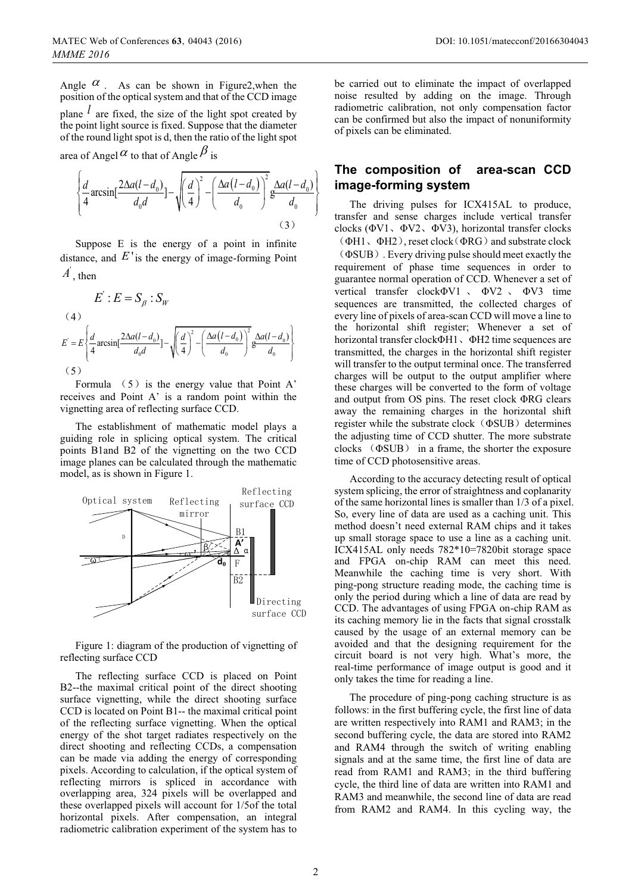Angle  $\alpha$ . As can be shown in Figure2, when the position of the optical system and that of the CCD image

plane  $l$  are fixed, the size of the light spot created by the point light source is fixed. Suppose that the diameter of the round light spot is d, then the ratio of the light spot

area of Angel  $\alpha$  to that of Angle  $\beta$  is

$$
\left\{\frac{d}{4}\arcsin\left[\frac{2\Delta a(l-d_0)}{d_0d}\right]-\sqrt{\left(\frac{d}{4}\right)^2-\left(\frac{\Delta a(l-d_0)}{d_0}\right)^2}\frac{\Delta a(l-d_0)}{d_0}\right\}
$$
\n(3)

Suppose E is the energy of a point in infinite<br>distance, and  $E'$  is the energy of image-forming Point Suppose E is the energy of a point in infinite  $\overline{A}$  then

$$
E': E = S_{\beta} : S_W
$$
\n
$$
(4)
$$
\n
$$
E' = E \left\{ \frac{d}{4} \operatorname{arcsin} \left[ \frac{2\Delta a (l - d_0)}{d_0 d} \right] - \sqrt{\left( \frac{d}{4} \right)^2 - \left( \frac{\Delta a (l - d_0)}{d_0} \right)^2} \frac{\Delta a (l - d_0)}{d_0} \right\}
$$
\n
$$
(5)
$$

Formula  $(5)$  is the energy value that Point A' receives and Point A' is a random point within the vignetting area of reflecting surface CCD.

The establishment of mathematic model plays a guiding role in splicing optical system. The critical points B1and B2 of the vignetting on the two CCD image planes can be calculated through the mathematic model, as is shown in Figure 1.



Figure 1: diagram of the production of vignetting of reflecting surface CCD

The reflecting surface CCD is placed on Point B2--the maximal critical point of the direct shooting surface vignetting, while the direct shooting surface CCD is located on Point B1-- the maximal critical point of the reflecting surface vignetting. When the optical energy of the shot target radiates respectively on the direct shooting and reflecting CCDs, a compensation can be made via adding the energy of corresponding pixels. According to calculation, if the optical system of reflecting mirrors is spliced in accordance with overlapping area, 324 pixels will be overlapped and these overlapped pixels will account for 1/5of the total horizontal pixels. After compensation, an integral radiometric calibration experiment of the system has to

be carried out to eliminate the impact of overlapped noise resulted by adding on the image. Through radiometric calibration, not only compensation factor can be confirmed but also the impact of nonuniformity of pixels can be eliminated.

## **The composition of area-scan CCD image-forming system**

The driving pulses for ICX415AL to produce, transfer and sense charges include vertical transfer clocks ( $\Phi V1$ ,  $\Phi V2$ ,  $\Phi V3$ ), horizontal transfer clocks  $(\Phi H1, \Phi H2)$ , reset clock $(\Phi RG)$  and substrate clock ˄ΦSUB˅. Every driving pulse should meet exactly the requirement of phase time sequences in order to guarantee normal operation of CCD. Whenever a set of vertical transfer clockΦV1, ΦV2, ΦV3 time sequences are transmitted, the collected charges of every line of pixels of area-scan CCD will move a line to the horizontal shift register; Whenever a set of horizontal transfer clockΦH1、ΦH2 time sequences are transmitted, the charges in the horizontal shift register will transfer to the output terminal once. The transferred charges will be output to the output amplifier where these charges will be converted to the form of voltage and output from OS pins. The reset clock ΦRG clears away the remaining charges in the horizontal shift register while the substrate clock  $(\Phi \text{SUB})$  determines the adjusting time of CCD shutter. The more substrate clocks  $(\Phi \text{SUB})$  in a frame, the shorter the exposure time of CCD photosensitive areas.

According to the accuracy detecting result of optical system splicing, the error of straightness and coplanarity of the same horizontal lines is smaller than 1/3 of a pixel. So, every line of data are used as a caching unit. This method doesn't need external RAM chips and it takes up small storage space to use a line as a caching unit. ICX415AL only needs 782\*10=7820bit storage space and FPGA on-chip RAM can meet this need. Meanwhile the caching time is very short. With ping-pong structure reading mode, the caching time is only the period during which a line of data are read by CCD. The advantages of using FPGA on-chip RAM as its caching memory lie in the facts that signal crosstalk caused by the usage of an external memory can be avoided and that the designing requirement for the circuit board is not very high. What's more, the real-time performance of image output is good and it only takes the time for reading a line.

The procedure of ping-pong caching structure is as follows: in the first buffering cycle, the first line of data are written respectively into RAM1 and RAM3; in the second buffering cycle, the data are stored into RAM2 and RAM4 through the switch of writing enabling signals and at the same time, the first line of data are read from RAM1 and RAM3; in the third buffering cycle, the third line of data are written into RAM1 and RAM3 and meanwhile, the second line of data are read from RAM2 and RAM4. In this cycling way, the